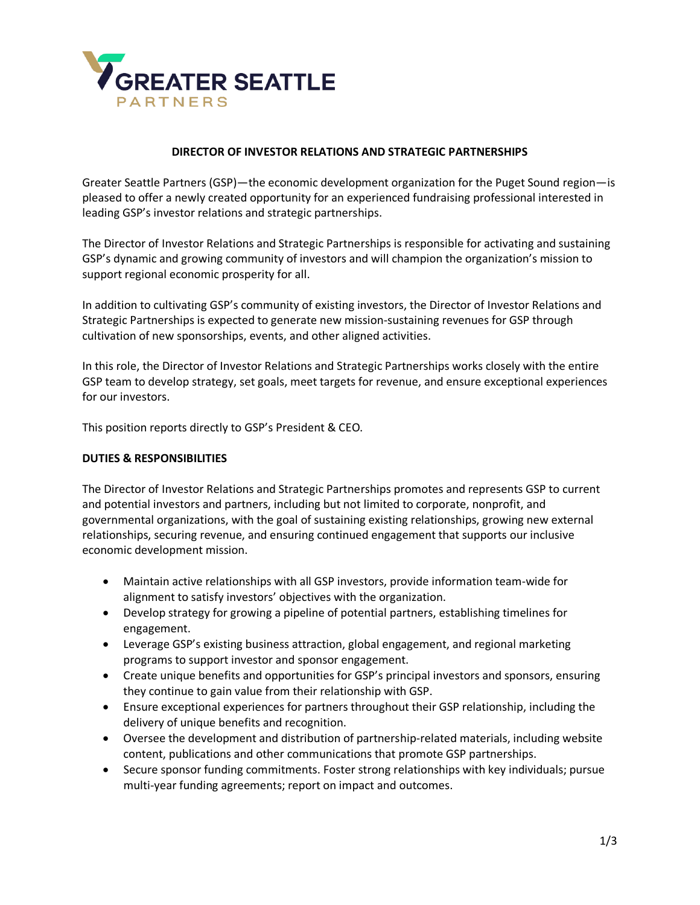

## **DIRECTOR OF INVESTOR RELATIONS AND STRATEGIC PARTNERSHIPS**

Greater Seattle Partners (GSP)—the economic development organization for the Puget Sound region—is pleased to offer a newly created opportunity for an experienced fundraising professional interested in leading GSP's investor relations and strategic partnerships.

The Director of Investor Relations and Strategic Partnerships is responsible for activating and sustaining GSP's dynamic and growing community of investors and will champion the organization's mission to support regional economic prosperity for all.

In addition to cultivating GSP's community of existing investors, the Director of Investor Relations and Strategic Partnerships is expected to generate new mission-sustaining revenues for GSP through cultivation of new sponsorships, events, and other aligned activities.

In this role, the Director of Investor Relations and Strategic Partnerships works closely with the entire GSP team to develop strategy, set goals, meet targets for revenue, and ensure exceptional experiences for our investors.

This position reports directly to GSP's President & CEO.

## **DUTIES & RESPONSIBILITIES**

The Director of Investor Relations and Strategic Partnerships promotes and represents GSP to current and potential investors and partners, including but not limited to corporate, nonprofit, and governmental organizations, with the goal of sustaining existing relationships, growing new external relationships, securing revenue, and ensuring continued engagement that supports our inclusive economic development mission.

- Maintain active relationships with all GSP investors, provide information team-wide for alignment to satisfy investors' objectives with the organization.
- Develop strategy for growing a pipeline of potential partners, establishing timelines for engagement.
- Leverage GSP's existing business attraction, global engagement, and regional marketing programs to support investor and sponsor engagement.
- Create unique benefits and opportunities for GSP's principal investors and sponsors, ensuring they continue to gain value from their relationship with GSP.
- Ensure exceptional experiences for partners throughout their GSP relationship, including the delivery of unique benefits and recognition.
- Oversee the development and distribution of partnership-related materials, including website content, publications and other communications that promote GSP partnerships.
- Secure sponsor funding commitments. Foster strong relationships with key individuals; pursue multi-year funding agreements; report on impact and outcomes.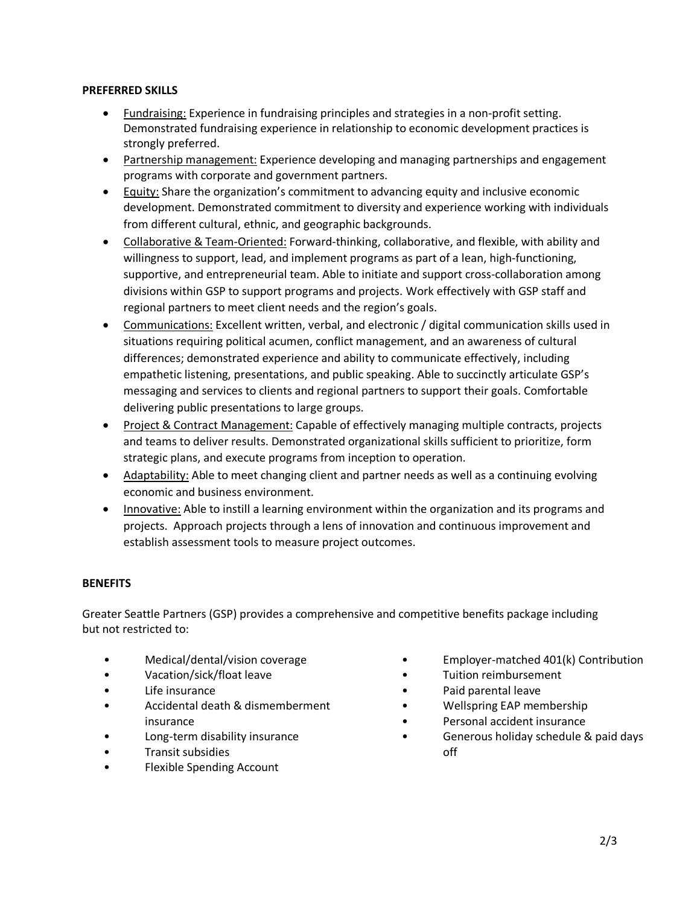## **PREFERRED SKILLS**

- Fundraising: Experience in fundraising principles and strategies in a non-profit setting. Demonstrated fundraising experience in relationship to economic development practices is strongly preferred.
- Partnership management: Experience developing and managing partnerships and engagement programs with corporate and government partners.
- Equity: Share the organization's commitment to advancing equity and inclusive economic development. Demonstrated commitment to diversity and experience working with individuals from different cultural, ethnic, and geographic backgrounds.
- Collaborative & Team-Oriented: Forward-thinking, collaborative, and flexible, with ability and willingness to support, lead, and implement programs as part of a lean, high-functioning, supportive, and entrepreneurial team. Able to initiate and support cross-collaboration among divisions within GSP to support programs and projects. Work effectively with GSP staff and regional partners to meet client needs and the region's goals.
- Communications: Excellent written, verbal, and electronic / digital communication skills used in situations requiring political acumen, conflict management, and an awareness of cultural differences; demonstrated experience and ability to communicate effectively, including empathetic listening, presentations, and public speaking. Able to succinctly articulate GSP's messaging and services to clients and regional partners to support their goals. Comfortable delivering public presentations to large groups.
- Project & Contract Management: Capable of effectively managing multiple contracts, projects and teams to deliver results. Demonstrated organizational skills sufficient to prioritize, form strategic plans, and execute programs from inception to operation.
- Adaptability: Able to meet changing client and partner needs as well as a continuing evolving economic and business environment.
- Innovative: Able to instill a learning environment within the organization and its programs and projects. Approach projects through a lens of innovation and continuous improvement and establish assessment tools to measure project outcomes.

# **BENEFITS**

Greater Seattle Partners (GSP) provides a comprehensive and competitive benefits package including but not restricted to:

- Medical/dental/vision coverage
- Vacation/sick/float leave
- Life insurance
- Accidental death & dismemberment insurance
- Long-term disability insurance
- Transit subsidies
- Flexible Spending Account
- Employer-matched 401(k) Contribution
- Tuition reimbursement
- Paid parental leave
- Wellspring EAP membership
- Personal accident insurance
- Generous holiday schedule & paid days off